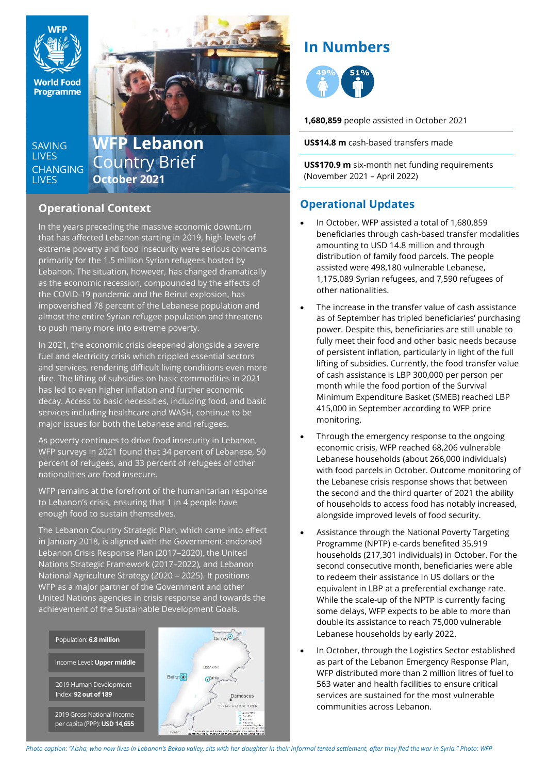

**SAVING LIVES CHANGING LIVES** 

# **WFP Lebanon** Country Brief **October 2021**

## **Operational Context**

In the years preceding the massive economic downturn that has affected Lebanon starting in 2019, high levels of extreme poverty and food insecurity were serious concerns primarily for the 1.5 million Syrian refugees hosted by Lebanon. The situation, however, has changed dramatically as the economic recession, compounded by the effects of the COVID-19 pandemic and the Beirut explosion, has impoverished 78 percent of the Lebanese population and almost the entire Syrian refugee population and threatens to push many more into extreme poverty.

In 2021, the economic crisis deepened alongside a severe fuel and electricity crisis which crippled essential sectors and services, rendering difficult living conditions even more dire. The lifting of subsidies on basic commodities in 2021 has led to even higher inflation and further economic decay. Access to basic necessities, including food, and basic services including healthcare and WASH, continue to be major issues for both the Lebanese and refugees.

As poverty continues to drive food insecurity in Lebanon, WFP surveys in 2021 found that 34 percent of Lebanese, 50 percent of refugees, and 33 percent of refugees of other nationalities are food insecure.

WFP remains at the forefront of the humanitarian response to Lebanon's crisis, ensuring that 1 in 4 people have enough food to sustain themselves.

The Lebanon Country Strategic Plan, which came into effect in January 2018, is aligned with the Government-endorsed Lebanon Crisis Response Plan (2017–2020), the United Nations Strategic Framework (2017–2022), and Lebanon National Agriculture Strategy (2020 – 2025). It positions WFP as a major partner of the Government and other United Nations agencies in crisis response and towards the achievement of the Sustainable Development Goals.



# **In Numbers**



**1,680,859** people assisted in October 2021

**US\$14.8 m** cash-based transfers made

**US\$170.9 m** six-month net funding requirements (November 2021 – April 2022)

## **Operational Updates**

- In October, WFP assisted a total of 1,680,859 beneficiaries through cash-based transfer modalities amounting to USD 14.8 million and through distribution of family food parcels. The people assisted were 498,180 vulnerable Lebanese, 1,175,089 Syrian refugees, and 7,590 refugees of other nationalities.
- The increase in the transfer value of cash assistance as of September has tripled beneficiaries' purchasing power. Despite this, beneficiaries are still unable to fully meet their food and other basic needs because of persistent inflation, particularly in light of the full lifting of subsidies. Currently, the food transfer value of cash assistance is LBP 300,000 per person per month while the food portion of the Survival Minimum Expenditure Basket (SMEB) reached LBP 415,000 in September according to WFP price monitoring.
- Through the emergency response to the ongoing economic crisis, WFP reached 68,206 vulnerable Lebanese households (about 266,000 individuals) with food parcels in October. Outcome monitoring of the Lebanese crisis response shows that between the second and the third quarter of 2021 the ability of households to access food has notably increased, alongside improved levels of food security.
- Assistance through the National Poverty Targeting Programme (NPTP) e-cards benefited 35,919 households (217,301 individuals) in October. For the second consecutive month, beneficiaries were able to redeem their assistance in US dollars or the equivalent in LBP at a preferential exchange rate. While the scale-up of the NPTP is currently facing some delays, WFP expects to be able to more than double its assistance to reach 75,000 vulnerable Lebanese households by early 2022.
- In October, through the Logistics Sector established as part of the Lebanon Emergency Response Plan, WFP distributed more than 2 million litres of fuel to 563 water and health facilities to ensure critical services are sustained for the most vulnerable communities across Lebanon.

Photo caption: "Aisha, who now lives in Lebanon's Bekaa valley, sits with her daughter in their informal tented settlement, after they fled the war in Syria." Photo: WFP